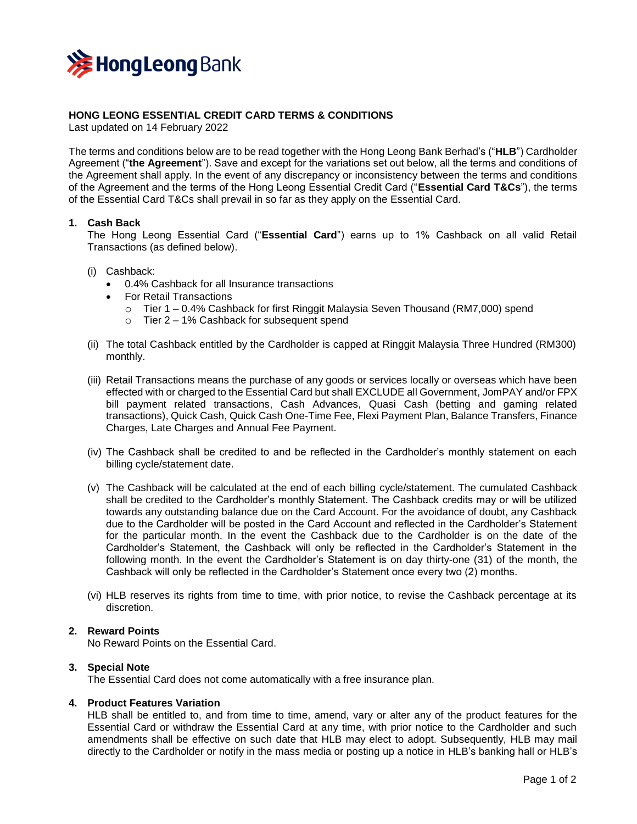

# **HONG LEONG ESSENTIAL CREDIT CARD TERMS & CONDITIONS**

Last updated on 14 February 2022

The terms and conditions below are to be read together with the Hong Leong Bank Berhad's ("**HLB**") Cardholder Agreement ("**the Agreement**"). Save and except for the variations set out below, all the terms and conditions of the Agreement shall apply. In the event of any discrepancy or inconsistency between the terms and conditions of the Agreement and the terms of the Hong Leong Essential Credit Card ("**Essential Card T&Cs**"), the terms of the Essential Card T&Cs shall prevail in so far as they apply on the Essential Card.

## **1. Cash Back**

The Hong Leong Essential Card ("**Essential Card**") earns up to 1% Cashback on all valid Retail Transactions (as defined below).

- (i) Cashback:
	- 0.4% Cashback for all Insurance transactions
	- For Retail Transactions
		- o Tier 1 0.4% Cashback for first Ringgit Malaysia Seven Thousand (RM7,000) spend
		- o Tier 2 1% Cashback for subsequent spend
- (ii) The total Cashback entitled by the Cardholder is capped at Ringgit Malaysia Three Hundred (RM300) monthly.
- (iii) Retail Transactions means the purchase of any goods or services locally or overseas which have been effected with or charged to the Essential Card but shall EXCLUDE all Government, JomPAY and/or FPX bill payment related transactions, Cash Advances, Quasi Cash (betting and gaming related transactions), Quick Cash, Quick Cash One-Time Fee, Flexi Payment Plan, Balance Transfers, Finance Charges, Late Charges and Annual Fee Payment.
- (iv) The Cashback shall be credited to and be reflected in the Cardholder's monthly statement on each billing cycle/statement date.
- (v) The Cashback will be calculated at the end of each billing cycle/statement. The cumulated Cashback shall be credited to the Cardholder's monthly Statement. The Cashback credits may or will be utilized towards any outstanding balance due on the Card Account. For the avoidance of doubt, any Cashback due to the Cardholder will be posted in the Card Account and reflected in the Cardholder's Statement for the particular month. In the event the Cashback due to the Cardholder is on the date of the Cardholder's Statement, the Cashback will only be reflected in the Cardholder's Statement in the following month. In the event the Cardholder's Statement is on day thirty-one (31) of the month, the Cashback will only be reflected in the Cardholder's Statement once every two (2) months.
- (vi) HLB reserves its rights from time to time, with prior notice, to revise the Cashback percentage at its discretion.

## **2. Reward Points**

No Reward Points on the Essential Card.

#### **3. Special Note**

The Essential Card does not come automatically with a free insurance plan.

## **4. Product Features Variation**

HLB shall be entitled to, and from time to time, amend, vary or alter any of the product features for the Essential Card or withdraw the Essential Card at any time, with prior notice to the Cardholder and such amendments shall be effective on such date that HLB may elect to adopt. Subsequently, HLB may mail directly to the Cardholder or notify in the mass media or posting up a notice in HLB's banking hall or HLB's